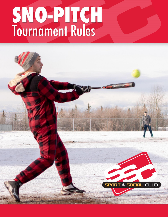# SNO-PITCH<br>Tournament Rules

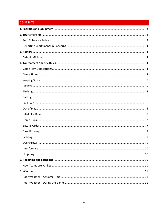# **CONTENTS**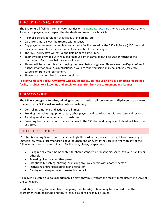# <span id="page-2-0"></span>1. FACILITIES AND EQUIPMENT

The SSC rents all facilities from private facilities or the Edmonton/Calgary City Recreation Department. As tenants, players must respect the standards and rules of each facility:

- Alcohol is strictly forbidden at facilities or in parking lots.
- Caretakers must always be treated with respect.
- Any player who causes a complaint regarding a facility rented by the SSC will face a \$100 fine and may be removed from the tournament and ejected from the league.
- The SSC/Facility staff will set-up the field prior to game time.
- Teams will be provided with reduced flight Sno-Pitch game balls, to be used throughout the tournament. Substitute balls are not allowed.
- Players will be responsible for bringing their own bats and gloves. Please view the *illegal bat list* for further information on SSC restrictions. If you are reported using an illegal bat, you may face suspension from the tournament.
- Players are not permitted to wear metal cleats.

# **Facility Complaint Policy: Any player who causes the SSC to receive an official complaint regarding a facility is subject to a \$100 fine and possible suspension from the tournament and leagues.**

# <span id="page-2-1"></span>2. SPORTSMANSHIP

**The SSC encourages a 'fun-first, winning-second' attitude in all tournaments. All players are expected to abide by the SSC sportsmanship policies, including:**

- Controlling emotions and actions at all times.
- Treating the facility, equipment, staff, other players, and coordinators with courtesy and respect.
- Avoiding retaliation under any circumstance.
- Providing feedback in a constructive manner to the SSC staff and being open to feedback from the SSC staff.

### <span id="page-2-2"></span>ZERO TOLERANCE POLICY

SSC Staff (including Games/Event/Beach Volleyball Coordinators) reserve the right to remove players immediately from a facility and/or league, tournament, or event if they are involved with any of the following acts toward a coordinator, facility staff, player, or spectator:

- Using racial, ethnic, homophobic, fatphobic, gendered, transphobic, sexist, sexual, disability or other slurs
- Swearing directly at another person
- Intentionally pushing, shoving, or making physical contact with another person
- Instigating and/or retaliating in an altercation
- Displaying disrespectful or threatening behavior

If a player is ejected due to unsportsmanlike play, they must vacate the facility immediately, inclusive of the parking lot.

In addition to being dismissed from the game, the player(s) or team may be removed from the tournament with no refund and future league suspensions may be issued.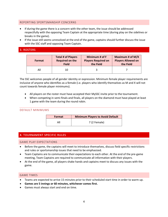### <span id="page-3-0"></span>REPORTING SPORTSMANSHIP CONCERNS

- If during the game there is a concern with the other team, the issue should be addressed respectfully with the opposing Team Captain at the appropriate time (during play on the sidelines or breaks in the game).
- If the issue still seems unresolved at the end of the game, captains should further discuss the issue with the SSC staff and opposing Team Captain.

# <span id="page-3-1"></span>3. ROSTERS

| Format | <b>Total # of Players</b> | Minimum # of F             | Maximum # of M/X          |
|--------|---------------------------|----------------------------|---------------------------|
|        | <b>Required on the</b>    | <b>Players Required on</b> | <b>Players Allowed on</b> |
|        | <b>Field</b>              | the Field                  | the Field                 |
| All    | 10                        |                            |                           |

The SSC welcomes people of all gender identity or expression. Minimum female player requirements are inclusive of anyone who identifies as a female (i.e. players who identify themselves as M and X will not count towards female player minimums).

- All players on the roster must have accepted their MySSC invite prior to the tournament.
- When competing in semi-finals and finals, all players on the diamond must have played at least 1 game with the team during the round robin.

### <span id="page-3-2"></span>DEFAULT MINIMUMS

| Format | <b>Minimum Players to Avoid Default</b> |  |
|--------|-----------------------------------------|--|
| All    | 7 (2 Female)                            |  |

# <span id="page-3-3"></span>4. TOURNAMENT SPECIFIC RULES

### <span id="page-3-4"></span>GAME PLAY EXPECTATIONS

- Before the game, the captains will meet to introduce themselves, discuss field specific restrictions and rules or sportsmanship issues that need to be emphasized.
- Team Captains are to communicate their expectations to each other. At the end of the pre-game meeting, Team Captains are required to communicate all information with their players.
- At the end of the game, all players shake hands and captains meet to discuss any issues with the game.

### <span id="page-3-5"></span>GAME TIMES

- Teams are expected to arrive 15-minutes prior to their scheduled start time in order to warm up.
- **Games are 5 innings or 60 minutes, whichever comes first.**
- Games must always start and end on time.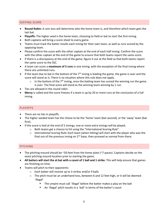# <span id="page-4-0"></span>KEEPING SCORE

- **Round Robin:** A coin toss will determine who the home team is, and therefore which team gets the last bat.
- **Playoffs:** The higher seed is the home team, choosing to field or bat to start the first-inning.
- Both captains will bring a score sheet to every game.
- Teams must track the batter results each inning for their own team, as well as runs scored by the opposing team.
- Please confirm the score with the other captain at the end of each half inning. Confirm the score with the other captain at the end of the game to ensure that both teams report the same score.
- If there is a discrepancy at the end of the game, figure it out at the field so that both teams report the same score to the SSC.
- A team can score a **maximum of 5 runs** in one inning, with the exception of the final inning where there are unlimited runs.
- If the team due to bat in the bottom of the  $7<sup>th</sup>$  inning is leading the game, the game is over and the score will stand as is. There is no situation where this rule does not apply.
	- $\circ$  In the bottom of the 7<sup>th</sup> inning, once the batting team has scored the winning run the game is over. The final score will stand as the winning team winning by 1 run.
- Ties are allowed in the round robin.
- **Mercy** is called and the score freezes if a team is up by 20 or more runs at the conclusion of a fullinning.

### <span id="page-4-1"></span>PLAYOFFS

- There are no ties in playoffs.
- The higher seeded team has the choice to be the 'home' team (bat second), or the 'away' team (bat first).
- If the score is tied at the end of 5 innings, one or more extra innings will be played.
	- o Both teams get a chance to hit using the "International Scoring Rule".
	- o *International Scoring Rule***:** Each team (when hitting) will start with the player who was the final out of the previous inning on  $2<sup>nd</sup>$  base, then proceed as normal from there.

# <span id="page-4-2"></span>PITCHING

- The pitching mound should be  $\sim$ 50-feet from the home plate ( $\sim$ 7-paces). Captains decide on the exact pitching mound location prior to starting the game.
- **All batters will start the at bat with a count of 1 ball and 1 strike.** This will help ensure that games are finishing on time.
- Teams will pitch to their opponents:
	- o Each batter will receive up to 3 strikes and/or 4 balls
	- $\circ$  The pitch must be an underhand toss, between 6 and 12 feet high, or it will be deemed `illegal'
		- The umpire must call `illegal' before the batter makes a play on the ball
		- An `illegal' pitch results in a `ball' in terms of the batter's count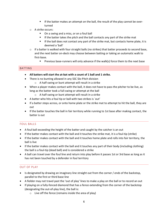- If the batter makes an attempt on the ball, the result of the play cannot be overturned
- o A strike occurs:
	- On a swing and a miss, or on a foul ball
	- If the batter takes the pitch and the ball contacts any part of the strike mat
	- If the ball does not contact any part of the strike mat, but contacts home plate, it is deemed a 'ball'
- $\circ$  If a batter is walked with four straight balls (no strikes) that batter proceeds to second base, and the next batter on-deck may choose between batting or taking an automatic walk to first-base.
	- **•** Previous base-runners will only advance if the walk(s) force them to the next base

# <span id="page-5-0"></span>BATTING

- **All batters will start the at-bat with a count of 1 ball and 1 strike.**
- There is no bunting allowed in any SSC Slo-Pitch division
	- o A half-swing or bunt attempt will result in a strike
- When a player makes contact with the ball, it does not have to pass the pitcher to be live, as long as the batter took a full-swing or attempt at the ball
	- o A half-swing or bunt attempt will result in a strike
- A batter who hits a foul tip or ball with two strikes is `out'
- If a batter steps across, or onto home plate or the strike mat to attempt to hit the ball, they are out
- If the batter touches the ball in fair territory while running to 1st base after making contact, the batter is out

# <span id="page-5-1"></span>FOUL BALLS

- A foul ball exceeding the height of the batter and caught by the catcher is an out
- If the batter makes contact with the ball and it touches the strike mat, it is a foul-tip (strike)
- If the batter makes contact with the ball and it touches home plate and rolls into fair territory, the ball is live
- If the batter makes contact with the ball and it touches any part of their body (including clothing) the ball is a foul-tip (dead ball) and is considered a strike
- A ball can travel over the foul line and return into play before it passes 1st or 3rd base as long as it has not been touched by a defender in foul territory

# <span id="page-5-2"></span>OUT OF PLAY

- Is designated by drawing an imaginary line straight out from the corner / ends of the backstop, parallel to the first or third base line
- A fielder may not travel past the 'out of play' lines to make a play on the ball or to record an out
- If playing on a fully-fenced diamond that has a fence extending from the corner of the backstop (designating the out-of-play line), the ball is:
	- o Live off the fence (remains inside the area of play)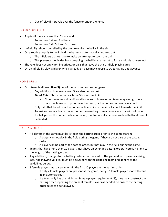o Out-of-play if it travels over the fence or under the fence

### <span id="page-6-0"></span>INFIELD FLY RULE

- Applies if there are less than 2 outs, and;
	- o Runners on 1st and 2nd base
	- o Runners on 1st, 2nd and 3rd base
- `Infield Fly' should be called by the umpire while the ball is in the air
- On a routine pop-fly to the infield the batter is automatically declared out
	- o The infielders do not have to make an attempt to catch the ball
	- $\circ$  This prevents the fielder from dropping the ball in an attempt to force multiple runners out
- The rule does not apply for line drives, or balls that leave the shale infield playing area
- On an infield fly play, a player who is already on base may choose to try to tag-up and advance

# <span id="page-6-1"></span>HOME RUNS

- Each team is allowed **five (5)** out of the park home-runs per game:
	- o Any additional home-runs over 5 are deemed an **out**
	- o *Plus-1 Rule:* If both teams reach the 5 home-run limit;
		- Either team may hit additional home runs; however, no team may ever go more than one home run up on the other team, or the home-run results in an out
	- $\circ$  Only balls that travel over the home run line while in the air will count towards the limit
	- o An inside-the-park home run, or home run resulting from a defensive error will not count
	- $\circ$  If a ball passes the home run line in the air, it automatically becomes a dead ball and cannot be fielded

# <span id="page-6-2"></span>BATTING ORDER

- All players at the game must be listed in the batting order prior to the game starting.
	- $\circ$  A player cannot play in the field during the game if they are not part of the batting order.
	- $\circ$  A player can be part of the batting order, but not play in the field during the game.
- Teams that have more than 10 players must have an extended batting order. There is no limit to the length of the batting order.
- Any additions/changes to the batting order after the start of the game (due to players arriving late, not showing up, etc.) must be discussed with the opposing team and adhere to the guidelines below.
- 3 female players must appear within the first 10 players in the batting order.
	- $\circ$  If only 2 female players are present at the game, every 3<sup>rd</sup> female player spot will result in an automatic out.
	- $\circ$  If a team only has the minimum female player requirement (3), they may construct the batting order repeating the present female players as needed, to ensure the batting order rules can be followed.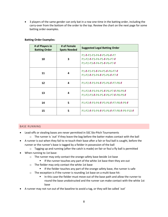• 3 players of the same gender can only bat in a row one-time in the batting order, including the carry-over from the bottom of the order to the top. Review the chart on the next page for some batting order examples.

| # of Players in<br><b>Batting Order</b> | # of Female<br><b>Spots Needed</b> | <b>Suggested Legal Batting Order</b>                                                   |
|-----------------------------------------|------------------------------------|----------------------------------------------------------------------------------------|
| 10                                      | 3                                  | P1-F-P2-P3-P4-F-P5-P6-F-P7<br>P1-P2-F-P3-P4-P5-F-P6-P7-F<br>P1-P2-P3-F-P4-P5-F-P6-P7-F |
| 11                                      | 4                                  | P1-F-P2-P3-F-P4-P5-F-P6-P7-F<br>P1-P2-F-P3-P4-F-P5-P6-F-P7-F                           |
| 12                                      | 4                                  | P1-P2-F-P3-P4-F-P5-P6-F-P7-P8-F                                                        |
| 13                                      | 4                                  | P1-P2-F-P3-P4-P5-F-P6-P7-F-P8-P9-F<br>P1-P2-P3-F-P4-P5-F-P6-P7-F-P8-P9-F               |
| 14                                      | 5                                  | P1-P2-F-P3-P4-F-P5-P6-F-P7-P8-F-P9-F                                                   |
| 15                                      | 5                                  | P1-P2-F-P3-P4-F-P5-P6-F-P7-P8-F-P9-P10-F                                               |

# **Batting Order Examples:**

### <span id="page-7-0"></span>BASE RUNNING

- Lead-offs or stealing bases are never permitted in SSC Slo-Pitch Tournaments
	- $\circ$  The runner is `out' if they leave the bag before the batter makes contact with the ball
- A runner is out when they fail to re-touch their base after a fair or foul ball is caught, before the runner or the runner's base is tagged by a fielder in possession of the ball
	- $\circ$  Tagging up and running (after the catch is made) on fair or foul a fly ball is permitted
- When running to 1st base:
	- o The runner may only contact the orange safety base beside 1st base
		- **■** If the runner touches any part of the white 1st base then they are out
	- o The fielder may only contact the white 1st base
		- **EXT** If the fielder touches any part of the orange safety base, the runner is safe
	- o The exception is if the runner is rounding 1st base on a multi-base hit:
		- In this case the fielder must move out of the base path and allow the runner to round the base unobstructed and the runner can make contact with the white 1st base
- A runner may not run out of the baseline to avoid a tag, or they will be called `out'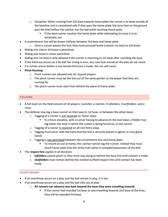- o *Exception:* When running from 3rd base towards home plate the runner is to keep outside of the baseline and is considered safe if they pass the [home-plate](file://///csscdc01/D/Leagues/Rules/(the%20first%20base%20line%20is%20extended%20beyond%20home%20plate%20towards%20the%20backstop)) line (one foot on the ground past the line) before the catcher has the ball while touching home plate
	- **■** If the base runner touches the home plate while attempting to score it is an automatic out
- A commitment line will be drawn halfway between 3rd base and home plate
	- $\circ$  Once a runner passes this line, they must proceed home (cannot run back to 3rd base)
- Sliding into 2nd or 3rd base is permitted
- Sliding into home is never permitted
- Sliding into 1st base is only allowed if the runner is returning to 1st base after rounding the base
- If the third out occurs on a fly-ball the inning is over; any runs that scored on the play do not count
- If a runner scores before a non-forced third out is made, the run will count
- **Pinch Running**:
	- o Pinch runners are allowed only for injured players
	- $\circ$  The pinch runner must be the last out of the same gender as the player that they are running for
	- o The pinch runner must start from behind the plane of home plate

# <span id="page-8-0"></span>FIELDING

- A full team on the field consists of 10 players: *a pitcher, a catcher, 4 infielders, 3 outfielders, and a rover*
- The defence may tag a base runner on their way to 1st base, or between the other bases
	- o Tagging of a runner is not required on 'force' plays
		- In a force situation, with a runner having to advance to the next base, a fielder may tag either the base in which the runner is being forced to, or the runner
	- o Tagging of a runner is required on all non-force plays
	- $\circ$  Tagging must occur with the hand that the ball is securely placed in (glove, or non-glove hand)
	- o Tagging is not permitted between the commitment line and home plate
		- To record an out at home, the catcher cannot tag the runner, instead they must touch home plate (not the strike mat) while in complete possession of the ball
- The **respect line** applies in all divisions:
	- o *Infielders* cannot pinch in, they must stay along or behind the base line until contact is made
	- o *Outfielders* must remain behind the marked outfield respect line until contact has been made

# <span id="page-8-1"></span>**OVERTHROWS**

- If an overthrow occurs on a play and the ball remain in play, it is live
- If an overthrow occurs on a play and the ball rolls out of play:
	- o **All runners can advance one base beyond the base they were travelling towards**
		- If the runner had rounded 1st base or was travelling towards 2nd base at the time, they will be awarded 3rd base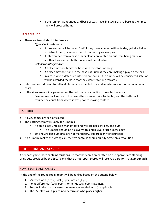**■** If the runner had rounded 2nd base or was travelling towards 3rd base at the time, they will proceed home

# <span id="page-9-0"></span>INTERFERENCE

- There are two kinds of interference:
	- o *Offensive interference:*
		- A base runner will be called `out' if they make contact with a fielder, yell at a fielder to distract them, or screen them from making a clear play
		- **■** If interference from a base runner clearly prevented an out from being made on another base runner, both runners will be called out
	- o *Defensive interference:*
		- A fielder may not block the base with their foot or body
		- **E** A fielder may not stand in the base path unless they are making a play on the ball
		- In a case where defensive interference occurs, the runner will be considered safe, or will be awarded the base that they were travelling towards
- Interference is difficult to call and players are expected to avoid interference or body contact at all costs
- If the sides are not in agreement on the call, there is an option to re-play the at-bat
	- $\circ$  Base runners will return to the bases they were at prior to the hit, and the batter will resume the count from where it was prior to making contact

### <span id="page-9-1"></span>UMPIRING

- All SSC games are self-officiated
- The batting team will supply the umpires
	- o A home-plate umpire is mandatory and will call balls, strikes, and outs
		- The umpire should be a player with a high level of rule knowledge
	- o 1st and 3rd base umpires are not mandatory, but are highly encouraged
- If an umpire makes the wrong call, the two captains should quickly agree on a resolution

# <span id="page-9-2"></span>5. REPORTING AND STANDINGS

After each game, both captains must ensure that the scores are written on the appropriate standings print-outs provided by the SSC. Teams that do not report scores will receive a zero for that game/match.

### <span id="page-9-3"></span>HOW TEAMS ARE RANKED

At the end of the round robin, teams will be ranked based on the criteria below:

- 1. Matches won (2 pts.), lost (0 pts.) or tied (1 pt.).
- 2. Point differential (total points for minus total points against).
- 3. Results in the match versus the team you are tied with (if applicable).
- 4. The SSC staff will flip a coin to determine who places higher.